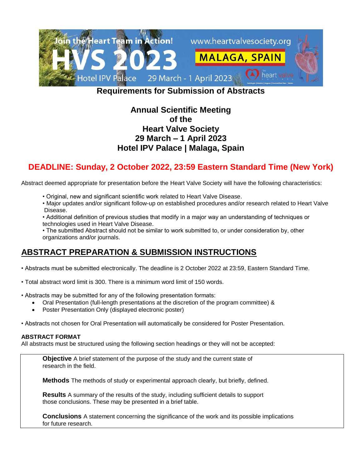

# **Requirements for Submission of Abstracts**

## **Annual Scientific Meeting of the Heart Valve Society 29 March – 1 April 2023 Hotel IPV Palace | Malaga, Spain**

# **DEADLINE: Sunday, 2 October 2022, 23:59 Eastern Standard Time (New York)**

Abstract deemed appropriate for presentation before the Heart Valve Society will have the following characteristics:

- Original, new and significant scientific work related to Heart Valve Disease.
- Major updates and/or significant follow-up on established procedures and/or research related to Heart Valve Disease.
- Additional definition of previous studies that modify in a major way an understanding of techniques or technologies used in Heart Valve Disease.
- The submitted Abstract should not be similar to work submitted to, or under consideration by, other organizations and/or journals.

# **ABSTRACT PREPARATION & SUBMISSION INSTRUCTIONS**

- Abstracts must be submitted electronically. The deadline is 2 October 2022 at 23:59, Eastern Standard Time.
- Total abstract word limit is 300. There is a minimum word limit of 150 words.
- Abstracts may be submitted for any of the following presentation formats:
	- Oral Presentation (full-length presentations at the discretion of the program committee) &
	- Poster Presentation Only (displayed electronic poster)
- Abstracts not chosen for Oral Presentation will automatically be considered for Poster Presentation.

### **ABSTRACT FORMAT**

All abstracts must be structured using the following section headings or they will not be accepted:

**Objective** A brief statement of the purpose of the study and the current state of research in the field.

**Methods** The methods of study or experimental approach clearly, but briefly, defined.

**Results** A summary of the results of the study, including sufficient details to support those conclusions. These may be presented in a brief table.

**Conclusions** A statement concerning the significance of the work and its possible implications for future research.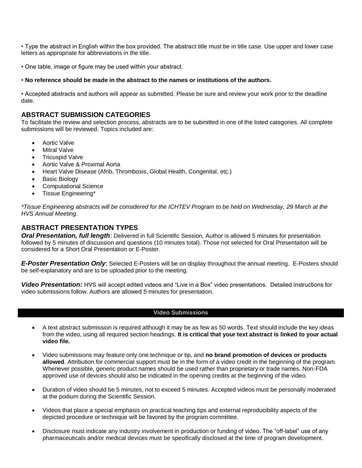• Type the abstract in English within the box provided. The abstract title must be in title case. Use upper and lower case letters as appropriate for abbreviations in the title.

• One table, image or figure may be used within your abstract.

#### • **No reference should be made in the abstract to the names or institutions of the authors.**

• Accepted abstracts and authors will appear as submitted. Please be sure and review your work prior to the deadline date.

### **ABSTRACT SUBMISSION CATEGORIES**

To facilitate the review and selection process, abstracts are to be submitted in one of the listed categories. All complete submissions will be reviewed. Topics included are:

- Aortic Valve
- Mitral Valve
- Tricuspid Valve
- Aortic Valve & Proximal Aorta
- Heart Valve Disease (Afrib, Thrombosis, Global Health, Congenital, etc.)
- Basic Biology
- Computational Science
- Tissue Engineering\*

*\*Tissue Engineering abstracts will be considered for the ICHTEV Program to be held on Wednesday, 29 March at the HVS Annual Meeting.*

### **ABSTRACT PRESENTATION TYPES**

*Oral Presentation, full length*: Delivered in full Scientific Session, Author is allowed 5 minutes for presentation followed by 5 minutes of discussion and questions (10 minutes total). Those not selected for Oral Presentation will be considered for a Short Oral Presentation or E-Poster.

*E-Poster Presentation Only*: Selected E-Posters will be on display throughout the annual meeting. E-Posters should be self-explanatory and are to be uploaded prior to the meeting.

*Video Presentation:* HVS will accept edited videos and "Live in a Box" video presentations. Detailed instructions for video submissions follow. Authors are allowed 5 minutes for presentation.

#### **Video Submissions**

- A text abstract submission is required although it may be as few as 50 words. Text should include the key ideas from the video, using all required section headings. **It is critical that your text abstract is linked to your actual video file.**
- Video submissions may feature only one technique or tip, and **no brand promotion of devices or products allowed**. Attribution for commercial support must be in the form of a video credit in the beginning of the program. Whenever possible, generic product names should be used rather than proprietary or trade names. Non-FDA approved use of devices should also be indicated in the opening credits at the beginning of the video.
- Duration of video should be 5 minutes, not to exceed 5 minutes. Accepted videos must be personally moderated at the podium during the Scientific Session.
- Videos that place a special emphasis on practical teaching tips and external reproducibility aspects of the depicted procedure or technique will be favored by the program committee.
- Disclosure must indicate any industry involvement in production or funding of video. The "off-label" use of any pharmaceuticals and/or medical devices must be specifically disclosed at the time of program development.